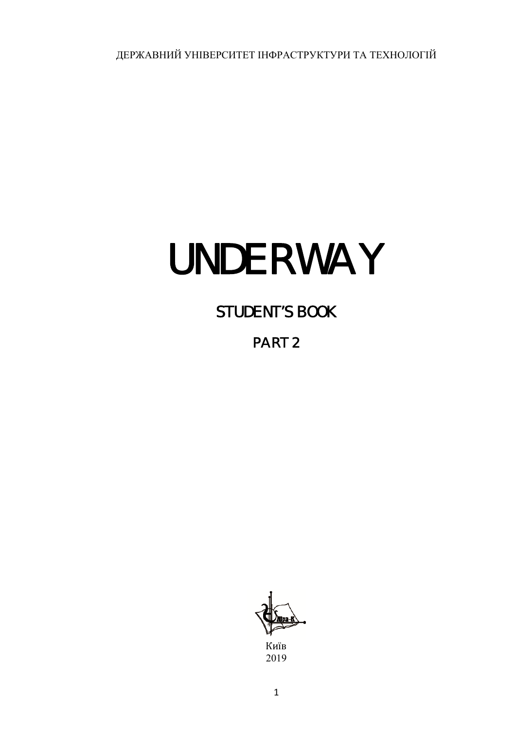ДЕРЖАВНИЙ УНІВЕРСИТЕТ ІНФРАСТРУКТУРИ ТА ТЕХНОЛОГІЙ

# UNDERWAY

# STUDENT'S BOOK

# PART 2



Київ 2019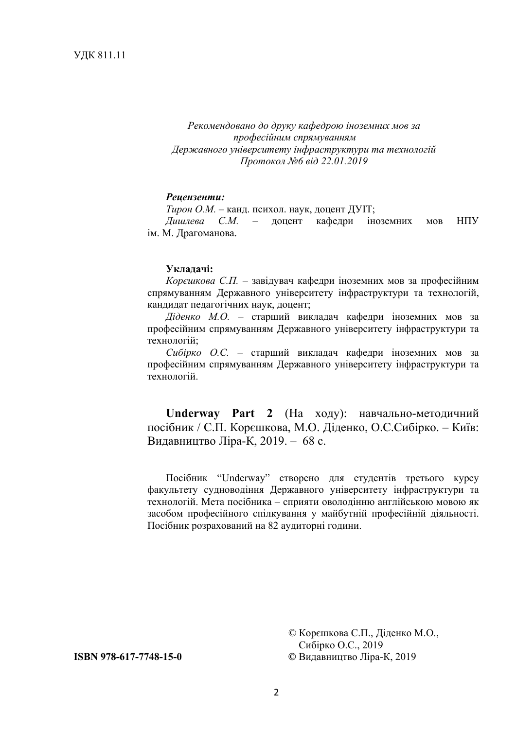*Рекомендовано до друку кафедрою іноземних мов за професійним спрямуванням Державного університету інфраструктури та технологій Протокол №6 від 22.01.2019* 

#### *Рецензенти:*

*Тирон О.М.* – канд. психол. наук, доцент ДУІТ;

*Дишлева С.М.* – доцент кафедри іноземних мов НПУ ім. М. Драгоманова.

#### **Укладачі:**

*Корєшкова С.П.* – завідувач кафедри іноземних мов за професійним спрямуванням Державного університету інфраструктури та технологій, кандидат педагогічних наук, доцент;

*Діденко М.О.* – старший викладач кафедри іноземних мов за професійним спрямуванням Державного університету інфраструктури та технологій;

*Сибірко О.С.* – старший викладач кафедри іноземних мов за професійним спрямуванням Державного університету інфраструктури та технологій.

**Underway Part 2** (На ходу): навчально-методичний посібник / С.П. Корєшкова, М.О. Діденко, О.С.Сибірко. – Київ: Видавництво Ліра-К, 2019. – 68 с.

Посібник "Underway" створено для студентів третього курсу факультету судноводіння Державного університету інфраструктури та технологій. Мета посібника – сприяти оволодінню англійською мовою як засобом професійного спілкування у майбутній професійній діяльності. Посібник розрахований на 82 аудиторні години.

© Корєшкова С.П., Діденко М.О., Сибірко О.С., 2019 **ISBN 978-617-7748-15-0 ©** Видавництво Ліра-К, 2019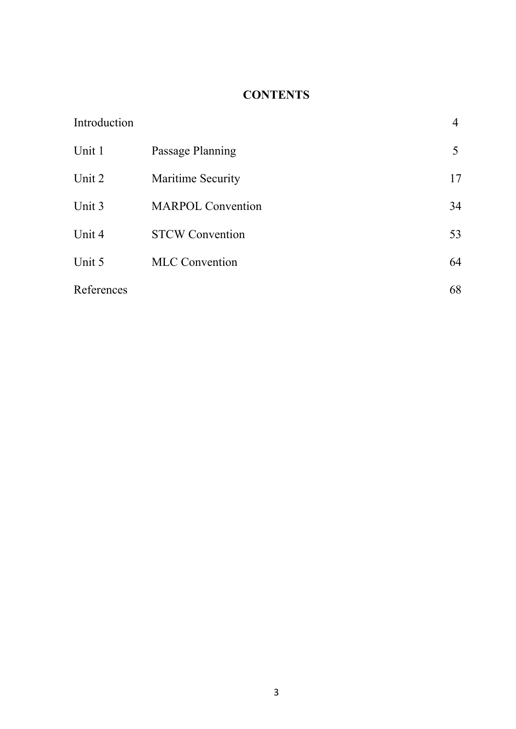# **CONTENTS**

| Introduction |                          | 4  |
|--------------|--------------------------|----|
| Unit 1       | Passage Planning         | 5  |
| Unit 2       | <b>Maritime Security</b> | 17 |
| Unit 3       | <b>MARPOL Convention</b> | 34 |
| Unit 4       | <b>STCW Convention</b>   | 53 |
| Unit 5       | <b>MLC</b> Convention    | 64 |
| References   |                          | 68 |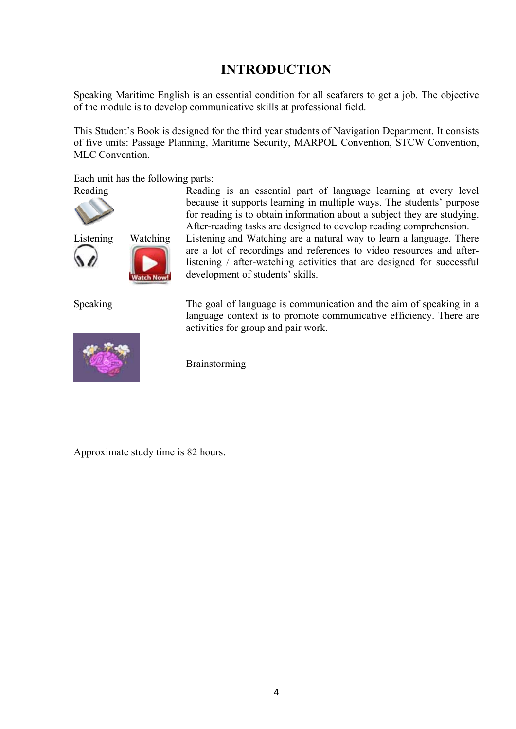# **INTRODUCTION**

Speaking Maritime English is an essential condition for all seafarers to get a job. The objective of the module is to develop communicative skills at professional field.

This Student's Book is designed for the third year students of Navigation Department. It consists of five units: Passage Planning, Maritime Security, MARPOL Convention, STCW Convention, MLC Convention.

Each unit has the following parts:





**Watch Now!** 



Reading Reading is an essential part of language learning at every level because it supports learning in multiple ways. The students' purpose for reading is to obtain information about a subject they are studying. After-reading tasks are designed to develop reading comprehension.

Listening Watching Listening and Watching are a natural way to learn a language. There are a lot of recordings and references to video resources and afterlistening / after-watching activities that are designed for successful development of students' skills.

Speaking The goal of language is communication and the aim of speaking in a language context is to promote communicative efficiency. There are activities for group and pair work.

Brainstorming

Approximate study time is 82 hours.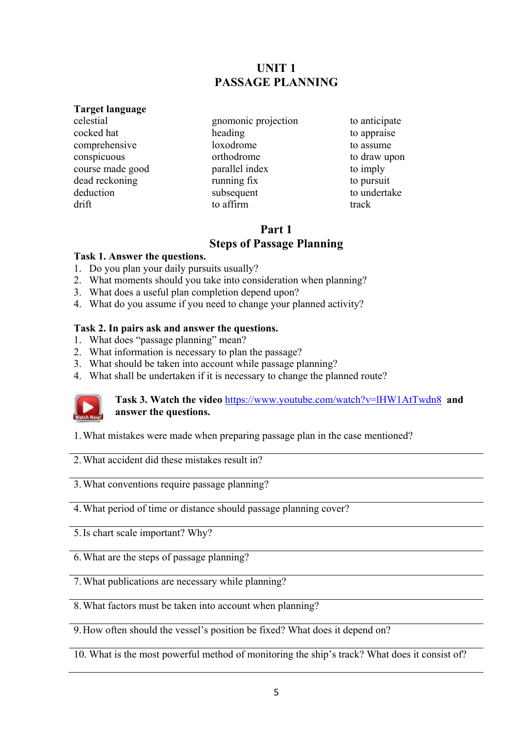# **UNIT 1 PASSAGE PLANNING**

#### **Target language**

celestial cocked hat comprehensive conspicuous course made good dead reckoning deduction drift

gnomonic projection heading loxodrome orthodrome parallel index running fix subsequent to affirm

to anticipate to appraise to assume to draw upon to imply to pursuit to undertake track

# **Part 1 Steps of Passage Planning**

# **Task 1. Answer the questions.**

- 1. Do you plan your daily pursuits usually?
- 2. What moments should you take into consideration when planning?
- 3. What does a useful plan completion depend upon?
- 4. What do you assume if you need to change your planned activity?

# **Task 2. In pairs ask and answer the questions.**

- 1. What does "passage planning" mean?
- 2. What information is necessary to plan the passage?
- 3. What should be taken into account while passage planning?
- 4. What shall be undertaken if it is necessary to change the planned route?



**Task 3. Watch the video** https://www.youtube.com/watch?v=lHW1AtTwdn8 **and answer the questions.**

1.What mistakes were made when preparing passage plan in the case mentioned?

2.What accident did these mistakes result in?

3.What conventions require passage planning?

4.What period of time or distance should passage planning cover?

5.Is chart scale important? Why?

6.What are the steps of passage planning?

7.What publications are necessary while planning?

8.What factors must be taken into account when planning?

9.How often should the vessel's position be fixed? What does it depend on?

10. What is the most powerful method of monitoring the ship's track? What does it consist of?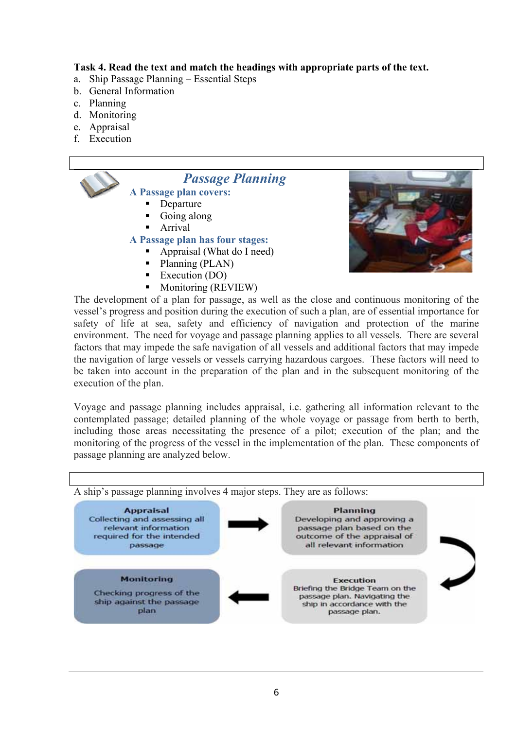## **Task 4. Read the text and match the headings with appropriate parts of the text.**

- a. Ship Passage Planning Essential Steps
- b. General Information
- c. Planning
- d. Monitoring
- e. Appraisal
- f. Execution



- $\blacksquare$  Planning (PLAN)
- Execution  $(DO)$
- **Monitoring (REVIEW)**



The development of a plan for passage, as well as the close and continuous monitoring of the vessel's progress and position during the execution of such a plan, are of essential importance for safety of life at sea, safety and efficiency of navigation and protection of the marine environment. The need for voyage and passage planning applies to all vessels. There are several factors that may impede the safe navigation of all vessels and additional factors that may impede the navigation of large vessels or vessels carrying hazardous cargoes. These factors will need to be taken into account in the preparation of the plan and in the subsequent monitoring of the execution of the plan.

Voyage and passage planning includes appraisal, i.e. gathering all information relevant to the contemplated passage; detailed planning of the whole voyage or passage from berth to berth, including those areas necessitating the presence of a pilot; execution of the plan; and the monitoring of the progress of the vessel in the implementation of the plan. These components of passage planning are analyzed below.

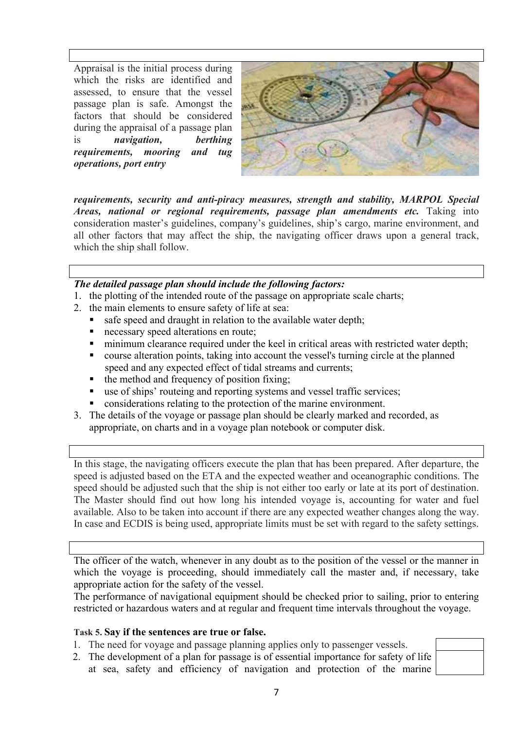Appraisal is the initial process during which the risks are identified and assessed, to ensure that the vessel passage plan is safe. Amongst the factors that should be considered during the appraisal of a passage plan is *navigation, berthing requirements, mooring and tug operations, port entry* 



*requirements, security and anti-piracy measures, strength and stability, MARPOL Special Areas, national or regional requirements, passage plan amendments etc.* Taking into consideration master's guidelines, company's guidelines, ship's cargo, marine environment, and all other factors that may affect the ship, the navigating officer draws upon a general track, which the ship shall follow.

## *The detailed passage plan should include the following factors:*

- 1. the plotting of the intended route of the passage on appropriate scale charts;
- 2. the main elements to ensure safety of life at sea:
	- safe speed and draught in relation to the available water depth;
	- necessary speed alterations en route;
	- minimum clearance required under the keel in critical areas with restricted water depth;
	- course alteration points, taking into account the vessel's turning circle at the planned speed and any expected effect of tidal streams and currents;
	- the method and frequency of position fixing;
	- use of ships' routeing and reporting systems and vessel traffic services;
	- considerations relating to the protection of the marine environment.
- 3. The details of the voyage or passage plan should be clearly marked and recorded, as appropriate, on charts and in a voyage plan notebook or computer disk.

In this stage, the navigating officers execute the plan that has been prepared. After departure, the speed is adjusted based on the ETA and the expected weather and oceanographic conditions. The speed should be adjusted such that the ship is not either too early or late at its port of destination. The Master should find out how long his intended voyage is, accounting for water and fuel available. Also to be taken into account if there are any expected weather changes along the way. In case and ECDIS is being used, appropriate limits must be set with regard to the safety settings.

The officer of the watch, whenever in any doubt as to the position of the vessel or the manner in which the voyage is proceeding, should immediately call the master and, if necessary, take appropriate action for the safety of the vessel.

The performance of navigational equipment should be checked prior to sailing, prior to entering restricted or hazardous waters and at regular and frequent time intervals throughout the voyage.

#### **Task 5. Say if the sentences are true or false.**

- 1. The need for voyage and passage planning applies only to passenger vessels.
- 2. The development of a plan for passage is of essential importance for safety of life at sea, safety and efficiency of navigation and protection of the marine

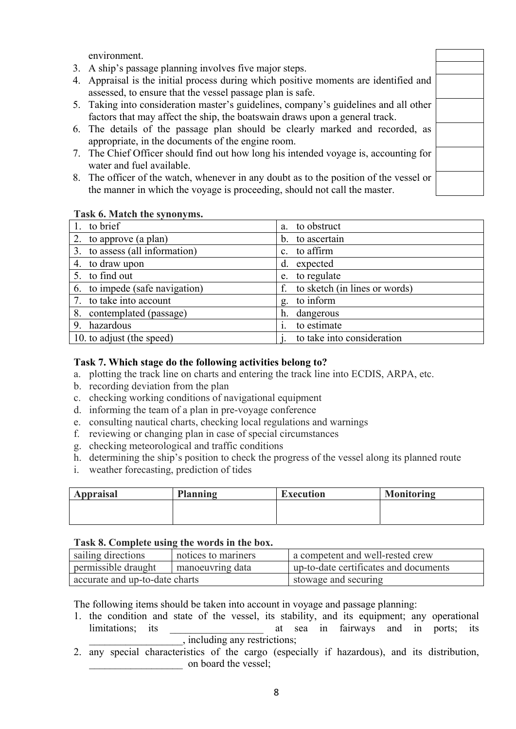environment.

- 3. A ship's passage planning involves five major steps.
- 4. Appraisal is the initial process during which positive moments are identified and assessed, to ensure that the vessel passage plan is safe.
- 5. Taking into consideration master's guidelines, company's guidelines and all other factors that may affect the ship, the boatswain draws upon a general track.
- 6. The details of the passage plan should be clearly marked and recorded, as appropriate, in the documents of the engine room.
- 7. The Chief Officer should find out how long his intended voyage is, accounting for water and fuel available.
- 8. The officer of the watch, whenever in any doubt as to the position of the vessel or the manner in which the voyage is proceeding, should not call the master.

#### **Task 6. Match the synonyms.**

| 1. to brief                    | to obstruct<br>a.                   |
|--------------------------------|-------------------------------------|
| 2. to approve (a plan)         | b. to ascertain                     |
| 3. to assess (all information) | c. to affirm                        |
| 4. to draw upon                | expected<br>d.                      |
| 5. to find out                 | e. to regulate                      |
| 6. to impede (safe navigation) | to sketch (in lines or words)<br>f. |
| 7. to take into account        | to inform<br>g.                     |
| 8. contemplated (passage)      | dangerous<br>h.                     |
| 9. hazardous                   | to estimate                         |
| 10. to adjust (the speed)      | to take into consideration          |

#### **Task 7. Which stage do the following activities belong to?**

- a. plotting the track line on charts and entering the track line into ECDIS, ARPA, etc.
- b. recording deviation from the plan
- c. checking working conditions of navigational equipment
- d. informing the team of a plan in pre-voyage conference
- e. consulting nautical charts, checking local regulations and warnings
- f. reviewing or changing plan in case of special circumstances
- g. checking meteorological and traffic conditions
- h. determining the ship's position to check the progress of the vessel along its planned route
- i. weather forecasting, prediction of tides

| <b>Appraisal</b> | Planning | <b>Execution</b> | <b>Monitoring</b> |
|------------------|----------|------------------|-------------------|
|                  |          |                  |                   |
|                  |          |                  |                   |

#### **Task 8. Complete using the words in the box.**

| sailing directions             | notices to mariners | a competent and well-rested crew      |
|--------------------------------|---------------------|---------------------------------------|
| permissible draught            | manoeuvring data    | up-to-date certificates and documents |
| accurate and up-to-date charts |                     | stowage and securing                  |

The following items should be taken into account in voyage and passage planning:

- 1. the condition and state of the vessel, its stability, and its equipment; any operational limitations; its a sea in fairways and in ports; its limitations; its a sea in fairways and in ports; its \_\_\_\_\_\_\_\_\_\_\_\_\_\_\_\_\_\_, including any restrictions;
- 2. any special characteristics of the cargo (especially if hazardous), and its distribution, on board the vessel;